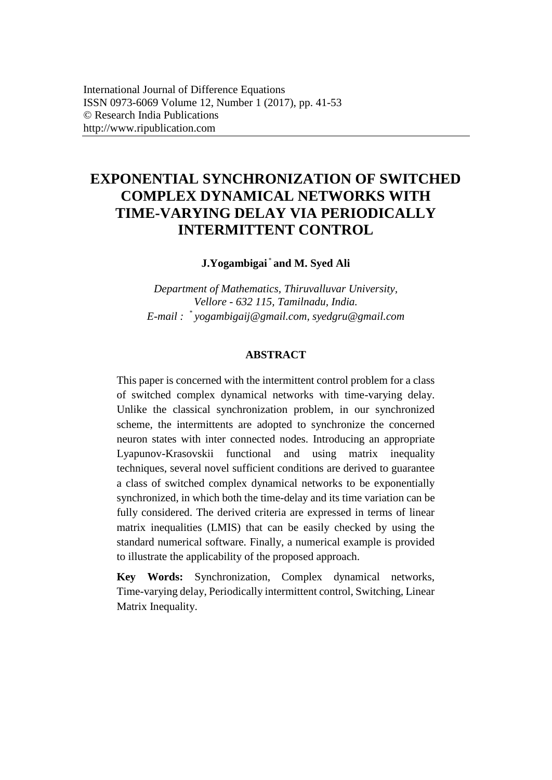# **EXPONENTIAL SYNCHRONIZATION OF SWITCHED COMPLEX DYNAMICAL NETWORKS WITH TIME-VARYING DELAY VIA PERIODICALLY INTERMITTENT CONTROL**

**J.Yogambigai** \* **and M. Syed Ali**

*Department of Mathematics, Thiruvalluvar University, Vellore - 632 115, Tamilnadu, India. E-mail :* \* *yogambigaij@gmail.com, syedgru@gmail.com* 

## **ABSTRACT**

This paper is concerned with the intermittent control problem for a class of switched complex dynamical networks with time-varying delay. Unlike the classical synchronization problem, in our synchronized scheme, the intermittents are adopted to synchronize the concerned neuron states with inter connected nodes. Introducing an appropriate Lyapunov-Krasovskii functional and using matrix inequality techniques, several novel sufficient conditions are derived to guarantee a class of switched complex dynamical networks to be exponentially synchronized, in which both the time-delay and its time variation can be fully considered. The derived criteria are expressed in terms of linear matrix inequalities (LMIS) that can be easily checked by using the standard numerical software. Finally, a numerical example is provided to illustrate the applicability of the proposed approach.

**Key Words:** Synchronization, Complex dynamical networks, Time-varying delay, Periodically intermittent control, Switching, Linear Matrix Inequality.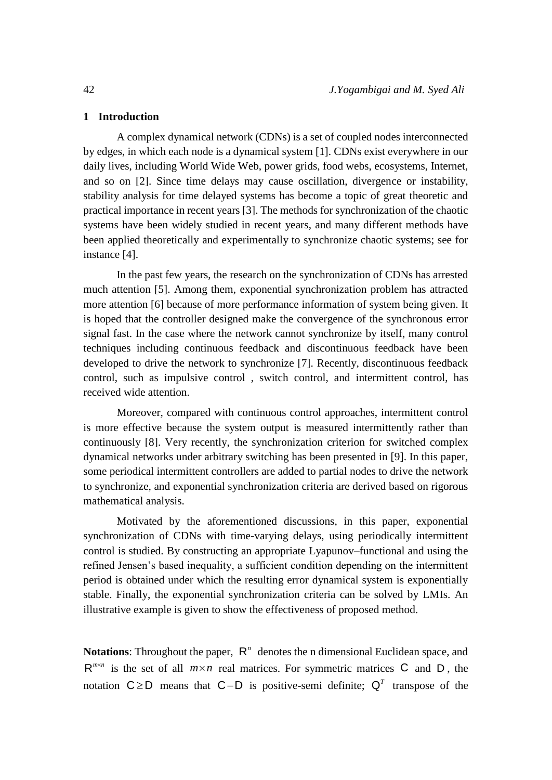## **1 Introduction**

A complex dynamical network (CDNs) is a set of coupled nodes interconnected by edges, in which each node is a dynamical system [1]. CDNs exist everywhere in our daily lives, including World Wide Web, power grids, food webs, ecosystems, Internet, and so on [2]. Since time delays may cause oscillation, divergence or instability, stability analysis for time delayed systems has become a topic of great theoretic and practical importance in recent years [3]. The methods for synchronization of the chaotic systems have been widely studied in recent years, and many different methods have been applied theoretically and experimentally to synchronize chaotic systems; see for instance [4].

In the past few years, the research on the synchronization of CDNs has arrested much attention [5]. Among them, exponential synchronization problem has attracted more attention [6] because of more performance information of system being given. It is hoped that the controller designed make the convergence of the synchronous error signal fast. In the case where the network cannot synchronize by itself, many control techniques including continuous feedback and discontinuous feedback have been developed to drive the network to synchronize [7]. Recently, discontinuous feedback control, such as impulsive control , switch control, and intermittent control, has received wide attention.

Moreover, compared with continuous control approaches, intermittent control is more effective because the system output is measured intermittently rather than continuously [8]. Very recently, the synchronization criterion for switched complex dynamical networks under arbitrary switching has been presented in [9]. In this paper, some periodical intermittent controllers are added to partial nodes to drive the network to synchronize, and exponential synchronization criteria are derived based on rigorous mathematical analysis.

Motivated by the aforementioned discussions, in this paper, exponential synchronization of CDNs with time-varying delays, using periodically intermittent control is studied. By constructing an appropriate Lyapunov–functional and using the refined Jensen's based inequality, a sufficient condition depending on the intermittent period is obtained under which the resulting error dynamical system is exponentially stable. Finally, the exponential synchronization criteria can be solved by LMIs. An illustrative example is given to show the effectiveness of proposed method.

**Notations:** Throughout the paper,  $R<sup>n</sup>$  denotes the n dimensional Euclidean space, and  $R^{m \times n}$  is the set of all  $m \times n$  real matrices. For symmetric matrices C and D, the notation  $C \ge D$  means that  $C-D$  is positive-semi definite;  $Q<sup>T</sup>$  transpose of the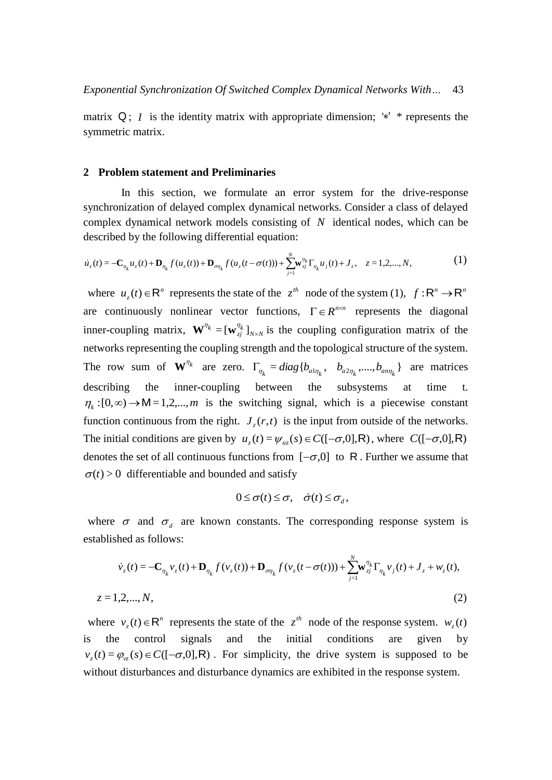matrix  $Q$ ; *I* is the identity matrix with appropriate dimension;  $*$  \* represents the symmetric matrix.

#### **2 Problem statement and Preliminaries**

In this section, we formulate an error system for the drive-response synchronization of delayed complex dynamical networks. Consider a class of delayed complex dynamical network models consisting of  $N$  identical nodes, which can be described by the following differential equation:

$$
\dot{u}_z(t) = -\mathbf{C}_{\eta_k} u_z(t) + \mathbf{D}_{\eta_k} f(u_z(t)) + \mathbf{D}_{\sigma_{\eta_k}} f(u_z(t - \sigma(t))) + \sum_{j=1}^N \mathbf{w}_{zj}^{\eta_k} \Gamma_{\eta_k} u_j(t) + J_z, \quad z = 1, 2, ..., N,
$$
\n(1)

where  $u_z(t) \in \mathbb{R}^n$  represents the state of the  $z^{th}$  node of the system (1),  $f : \mathbb{R}^n \to \mathbb{R}^n$ are continuously nonlinear vector functions,  $\Gamma \in R^{n \times n}$  represents the diagonal inner-coupling matrix,  $\mathbf{W}^{\eta_k} = [\mathbf{w}_{zj}^{\eta_k}]_{N \times N}$  is the coupling configuration matrix of the networks representing the coupling strength and the topological structure of the system. The row sum of  $\mathbf{W}^{\eta_k}$  are zero.  $\Gamma_{\eta_k} = diag\{b_{a1\eta_k}, b_{a2\eta_k},...,b_{a n \eta_k}\}\$  are matrices describing the inner-coupling between the subsystems at time t.  $\eta_k$ : [0, $\infty$ )  $\rightarrow$  M = 1,2,...,*m* is the switching signal, which is a piecewise constant function continuous from the right.  $J_z(r,t)$  is the input from outside of the networks. The initial conditions are given by  $u_z(t) = \psi_{uz}(s) \in C([-\sigma,0],R)$ , where  $C([-\sigma,0],R)$ denotes the set of all continuous functions from  $[-\sigma,0]$  to R. Further we assume that  $\sigma(t)$  > 0 differentiable and bounded and satisfy

$$
0\leq \sigma(t)\leq \sigma, \quad \dot{\sigma}(t)\leq \sigma_d,
$$

where  $\sigma$  and  $\sigma_d$  are known constants. The corresponding response system is established as follows:

$$
\dot{v}_z(t) = -\mathbf{C}_{\eta_k} v_z(t) + \mathbf{D}_{\eta_k} f(v_z(t)) + \mathbf{D}_{\sigma \eta_k} f(v_z(t - \sigma(t))) + \sum_{j=1}^N \mathbf{w}_{zj}^{\eta_k} \Gamma_{\eta_k} v_j(t) + J_z + w_z(t),
$$
\n
$$
z = 1, 2, ..., N,
$$
\n(2)

where  $v_1(t) \in \mathbb{R}^n$  $v_z(t) \in \mathbb{R}^n$  represents the state of the  $z^{th}$  node of the response system.  $w_z(t)$ is the control signals and the initial conditions are given by  $v_z(t) = \varphi_{v_z}(s) \in C([-\sigma,0],\mathbb{R})$ . For simplicity, the drive system is supposed to be without disturbances and disturbance dynamics are exhibited in the response system.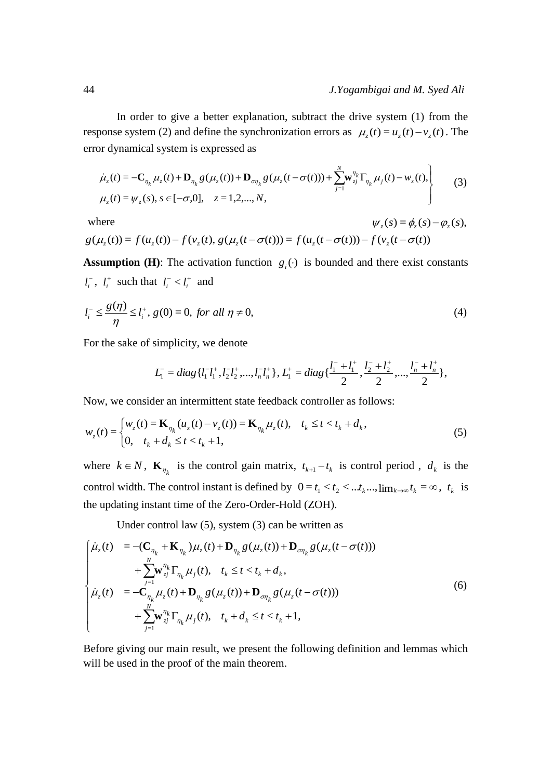In order to give a better explanation, subtract the drive system (1) from the response system (2) and define the synchronization errors as  $\mu_z(t) = u_z(t) - v_z(t)$ . The error dynamical system is expressed as

$$
\dot{\mu}_z(t) = -\mathbf{C}_{\eta_k} \mu_z(t) + \mathbf{D}_{\eta_k} g(\mu_z(t)) + \mathbf{D}_{\sigma \eta_k} g(\mu_z(t - \sigma(t))) + \sum_{j=1}^N \mathbf{w}_{z_j}^{\eta_k} \Gamma_{\eta_k} \mu_j(t) - w_z(t),
$$
\n
$$
\mu_z(t) = \psi_z(s), s \in [-\sigma, 0], \quad z = 1, 2, ..., N,
$$
\n(3)

where

 $\psi_{z}(s) = \phi_{z}(s) - \phi_{z}(s),$  $g(\mu_z(t)) = f(u_z(t)) - f(v_z(t), g(\mu_z(t - \sigma(t))) = f(u_z(t - \sigma(t))) - f(v_z(t - \sigma(t)))$ 

**Assumption (H)**: The activation function  $g_i(\cdot)$  is bounded and there exist constants  $l_i^-, l_i^+$  $l_i^+$  such that  $l_i^ < l_i^+$  $l_i^- < l_i^+$  and

$$
l_i^- \le \frac{g(\eta)}{\eta} \le l_i^+, \ g(0) = 0, \ \text{for all} \ \eta \ne 0,
$$
 (4)

For the sake of simplicity, we denote

$$
L_1^- = diag\{l_1^- l_1^+, l_2^- l_2^+, ..., l_n^- l_n^+\}, L_1^+ = diag\{\frac{l_1^- + l_1^+}{2}, \frac{l_2^- + l_2^+}{2}, ..., \frac{l_n^- + l_n^+}{2}\},
$$

Now, we consider an intermittent state feedback controller as follows:

$$
w_z(t) = \begin{cases} w_z(t) = \mathbf{K}_{\eta_k}(u_z(t) - v_z(t)) = \mathbf{K}_{\eta_k}\mu_z(t), & t_k \le t < t_k + d_k, \\ 0, & t_k + d_k \le t < t_k + 1, \end{cases}
$$
(5)

where  $k \in N$ ,  $\mathbf{K}_{\eta_k}$  is the control gain matrix,  $t_{k+1} - t_k$  is control period,  $d_k$  is the control width. The control instant is defined by  $0 = t_1 < t_2 < ... t_k ...$ ,  $\lim_{k \to \infty} t_k = \infty$ ,  $t_k$  is the updating instant time of the Zero-Order-Hold (ZOH).

Under control law (5), system (3) can be written as

$$
\begin{cases}\n\dot{\mu}_z(t) &= -(\mathbf{C}_{\eta_k} + \mathbf{K}_{\eta_k})\mu_z(t) + \mathbf{D}_{\eta_k}g(\mu_z(t)) + \mathbf{D}_{\sigma\eta_k}g(\mu_z(t-\sigma(t))) \\
&+ \sum_{j=1}^N \mathbf{w}_{zj}^{\eta_k} \Gamma_{\eta_k}\mu_j(t), \quad t_k \le t < t_k + d_k, \\
\dot{\mu}_z(t) &= -\mathbf{C}_{\eta_k}\mu_z(t) + \mathbf{D}_{\eta_k}g(\mu_z(t)) + \mathbf{D}_{\sigma\eta_k}g(\mu_z(t-\sigma(t))) \\
&+ \sum_{j=1}^N \mathbf{w}_{zj}^{\eta_k} \Gamma_{\eta_k}\mu_j(t), \quad t_k + d_k \le t < t_k + 1,\n\end{cases}\n\tag{6}
$$

Before giving our main result, we present the following definition and lemmas which will be used in the proof of the main theorem.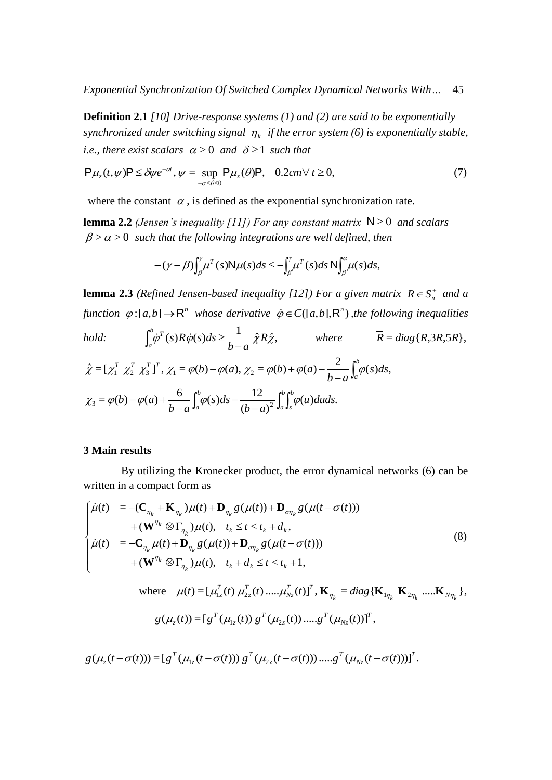**Definition 2.1** *[10] Drive-response systems (1) and (2) are said to be exponentially synchronized under switching signal*  $\eta_k$  *if the error system (6) is exponentially stable, i.e., there exist scalars*  $\alpha > 0$  *and*  $\delta \ge 1$  *such that* 

$$
\mathsf{P}\mu_z(t,\psi)\mathsf{P}\leq \delta\psi e^{-\alpha t}, \psi = \sup_{-\sigma\leq\theta\leq 0} \mathsf{P}\mu_z(\theta)\mathsf{P}, \quad 0.2cm \forall \ t \geq 0,\tag{7}
$$

where the constant  $\alpha$ , is defined as the exponential synchronization rate.

**lemma 2.2** (Jensen's inequality [11]) For any constant matrix  $N > 0$  and scalars  $\beta > \alpha > 0$  such that the following integrations are well defined, then

$$
-(\gamma - \beta) \int_{\beta}^{\gamma} \mu^{T}(s) N \mu(s) ds \leq - \int_{\beta}^{\gamma} \mu^{T}(s) ds N \int_{\beta}^{\alpha} \mu(s) ds,
$$

**lemma 2.3** (Refined Jensen-based inequality [12]) For a given matrix  $R \in S_n^+$  and a *function*  $\varphi$ : [a,b]  $\rightarrow$  R<sup>n</sup> whose derivative  $\dot{\varphi} \in C([a,b],R^n)$ , the following inequalities

*hold:* 
$$
\int_a^b \dot{\varphi}^T(s) R \dot{\varphi}(s) ds \ge \frac{1}{b-a} \hat{\chi} \overline{R} \hat{\chi}, \qquad \text{where} \qquad \overline{R} = diag\{R, 3R, 5R\},
$$

$$
\hat{\chi} = [\chi_1^T \ \chi_2^T \ \chi_3^T]^T, \ \chi_1 = \varphi(b) - \varphi(a), \ \chi_2 = \varphi(b) + \varphi(a) - \frac{2}{b-a} \int_a^b \varphi(s) ds, \n\chi_3 = \varphi(b) - \varphi(a) + \frac{6}{b-a} \int_a^b \varphi(s) ds - \frac{12}{(b-a)^2} \int_a^b \int_s^b \varphi(u) du ds.
$$

## **3 Main results**

By utilizing the Kronecker product, the error dynamical networks (6) can be written in a compact form as

$$
\begin{cases}\n\dot{\mu}(t) &= -(\mathbf{C}_{\eta_k} + \mathbf{K}_{\eta_k})\mu(t) + \mathbf{D}_{\eta_k} g(\mu(t)) + \mathbf{D}_{\sigma \eta_k} g(\mu(t-\sigma(t))) \\
&+ (\mathbf{W}^{\eta_k} \otimes \Gamma_{\eta_k})\mu(t), \quad t_k \leq t < t_k + d_k, \\
\dot{\mu}(t) &= -\mathbf{C}_{\eta_k}\mu(t) + \mathbf{D}_{\eta_k} g(\mu(t)) + \mathbf{D}_{\sigma \eta_k} g(\mu(t-\sigma(t))) \\
&+ (\mathbf{W}^{\eta_k} \otimes \Gamma_{\eta_k})\mu(t), \quad t_k + d_k \leq t < t_k + 1,\n\end{cases}\n\tag{8}
$$

where  $\mu(t) = [\mu_{1z}^T(t) \mu_{2z}^T(t) \dots \mu_{Nz}^T(t)]^T$ ,  $\mathbf{K}_{\eta_k} = diag\{\mathbf{K}_{1\eta_k} \mathbf{K}_{2\eta_k} \dots \mathbf{K}_{N\eta_k}\},$  $T$   $\ell \rightarrow 1$ <sup>T</sup> *Nz T z*  $\mu(t) = [\mu_{1z}^T(t) \mu_{2z}^T(t) \dots \mu_{Nz}^T(t)]^T$ ,  $\mathbf{K}_{\eta_L} = diag\{\mathbf{K}_{1\eta_L} \mathbf{K}_{2\eta_L} \dots \mathbf{K}_{N\eta_L}\}$  $(\mu_z(t)) = [g^T(\mu_{1z}(t)) g^T(\mu_{2z}(t)) ..... g^T(\mu_{Nz}(t))]^T$ , *T Nz T z T z*  $g(\mu_z(t)) = [g^T(\mu_{1z}(t)) g^T(\mu_{2z}(t)) ..... g^T(\mu_{Nz}(t))]$ 

 $(\mu_z(t-\sigma(t))) = [g^T(\mu_{1z}(t-\sigma(t))) g^T(\mu_{2z}(t-\sigma(t))) ..... g^T(\mu_{Nz}(t-\sigma(t)))]^T.$ *T Nz T z T z*  $g(\mu_z(t-\sigma(t))) = [g^T(\mu_{1z}(t-\sigma(t))) g^T(\mu_{2z}(t-\sigma(t))) ..... g^T(\mu_{Nz}(t-\sigma(t)))$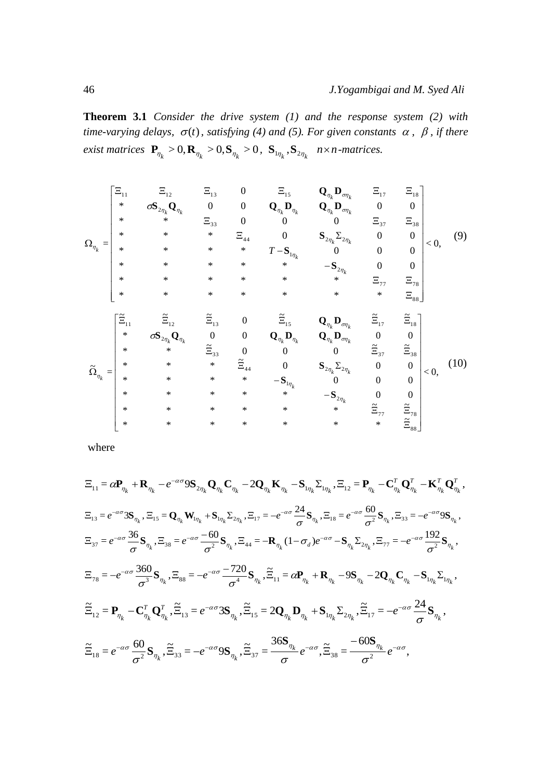**Theorem 3.1** *Consider the drive system (1) and the response system (2) with*   $time$ -varying delays,  $\sigma(t)$ , satisfying (4) and (5). For given constants  $\alpha$ ,  $\beta$ , if there  $\mathbf{P}_{\eta_k} > 0, \mathbf{R}_{\eta_k} > 0, \mathbf{S}_{\eta_k} > 0$ ,  $\mathbf{S}_{\eta_k}, \mathbf{S}_{\eta_k}$   $n \times n$ -matrices.

$$
\Omega_{\eta_k} = \begin{bmatrix}\n\Xi_{11} & \Xi_{12} & \Xi_{13} & 0 & \Xi_{15} & \mathbf{Q}_{\eta_k}\mathbf{D}_{\sigma\eta_k} & \Xi_{17} & \Xi_{18} \\
\ast & \mathbf{S}_{2\eta_k}\mathbf{Q}_{\eta_k} & 0 & 0 & \mathbf{Q}_{\eta_k}\mathbf{D}_{\eta_k} & \mathbf{Q}_{\eta_k}\mathbf{D}_{\sigma\eta_k} & 0 & 0 \\
\ast & \ast & \ddots & \Xi_{33} & 0 & 0 & 0 & \Xi_{37} & \Xi_{38} \\
\ast & \ast & \ast & \Xi_{44} & 0 & \mathbf{S}_{2\eta_k}\Sigma_{2\eta_k} & 0 & 0 & 0 \\
\ast & \ast & \ast & \ast & \ast & \ast & \ast & \Xi_{77} & \Xi_{78} \\
\ast & \ast & \ast & \ast & \ast & \ast & \ast & \Xi_{77} & \Xi_{78} \\
\ast & \ast & \ast & \ast & \ast & \ast & \ast & \Xi_{88}\n\end{bmatrix}\n\tag{9}
$$
\n
$$
\widetilde{\Omega}_{\eta_k} = \begin{bmatrix}\n\Xi_{11} & \Xi_{12} & \Xi_{13} & 0 & \Xi_{15} & \mathbf{Q}_{\eta_k}\mathbf{D}_{\sigma\eta_k} & \Xi_{17} & \Xi_{18} \\
\vdots & \ddots & \ddots & \ddots & \ddots & \vdots \\
\Xi_{12} & \Xi_{12} & \Xi_{13} & 0 & \Xi_{15} & \mathbf{Q}_{\eta_k}\mathbf{D}_{\sigma\eta_k} & \Xi_{17} & \Xi_{18} \\
\vdots & \ddots & \ddots & \ddots & \ddots & \ddots & \vdots \\
\ast & \ast & \ast & \ast & \ddots & \ddots & \Xi_{8} \\
\ast & \ast & \ast & \ddots & \ddots & \ddots & \vdots \\
\ast & \ast & \ast & \ast & \Xi_{44} & 0 & \mathbf{S}_{2\eta_k}\Sigma_{2\eta_k} & 0 & 0 \\
\ast & \ast & \ast & \ast & \ast & \ast & \Xi_{78} \\
\ast & \ast & \ast & \ast & \ast & \ast & \ast & \Xi_{79}\n\end{bmatrix}\n\tag{10}
$$

where

$$
\Xi_{11} = \alpha \mathbf{P}_{\eta_k} + \mathbf{R}_{\eta_k} - e^{-\alpha \sigma} \mathbf{S} \mathbf{S}_{2\eta_k} \mathbf{Q}_{\eta_k} \mathbf{C}_{\eta_k} - 2 \mathbf{Q}_{\eta_k} \mathbf{K}_{\eta_k} - \mathbf{S}_{1\eta_k} \Sigma_{1\eta_k}, \Xi_{12} = \mathbf{P}_{\eta_k} - \mathbf{C}_{\eta_k}^T \mathbf{Q}_{\eta_k}^T - \mathbf{K}_{\eta_k}^T \mathbf{Q}_{\eta_k}^T, \n\Xi_{13} = e^{-\alpha \sigma} \mathbf{S} \mathbf{S}_{\eta_k}, \Xi_{15} = \mathbf{Q}_{\eta_k} \mathbf{W}_{1\eta_k} + \mathbf{S}_{1\eta_k} \Sigma_{2\eta_k}, \Xi_{17} = -e^{-\alpha \sigma} \frac{24}{\sigma} \mathbf{S}_{\eta_k}, \Xi_{18} = e^{-\alpha \sigma} \frac{60}{\sigma^2} \mathbf{S}_{\eta_k}, \Xi_{33} = -e^{-\alpha \sigma} \mathbf{S} \mathbf{S}_{\eta_k}, \n\Xi_{37} = e^{-\alpha \sigma} \frac{36}{\sigma} \mathbf{S}_{\eta_k}, \Xi_{38} = e^{-\alpha \sigma} \frac{-60}{\sigma^2} \mathbf{S}_{\eta_k}, \Xi_{44} = -\mathbf{R}_{\eta_k} (1 - \sigma_d) e^{-\alpha \sigma} - \mathbf{S}_{\eta_k} \Sigma_{2\eta_k}, \Xi_{77} = -e^{-\alpha \sigma} \frac{192}{\sigma^2} \mathbf{S}_{\eta_k}, \n\Xi_{78} = -e^{-\alpha \sigma} \frac{360}{\sigma^3} \mathbf{S}_{\eta_k}, \Xi_{88} = -e^{-\alpha \sigma} \frac{-720}{\sigma^4} \mathbf{S}_{\eta_k}, \widetilde{\Xi}_{11} = \alpha \mathbf{P}_{\eta_k} + \mathbf{R}_{\eta_k} - 9 \mathbf{S}_{\eta_k} - 2 \mathbf{Q}_{\eta_k} \mathbf{C}_{\eta_k} - \mathbf{S}_{1\eta_k} \Sigma_{1\eta_k}, \n\widetilde{\Xi}_{12} = \mathbf{P}_{\eta_k} - \mathbf{C}_{\eta_k}^T \mathbf{Q}_{\eta_k}^T, \widetilde{\Xi}_{13} = e^{-
$$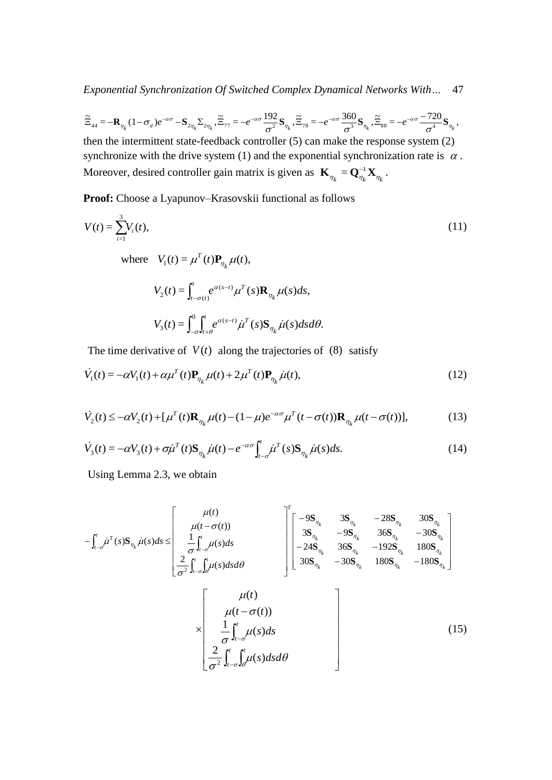$\widetilde{\Xi}_{44} = -\mathbf{R}_{n_{\alpha}}(1-\sigma_{d})e^{-\alpha\sigma} - \mathbf{S}_{2n_{\alpha}}\Sigma_{2n_{\alpha}}, \widetilde{\Xi}_{77} = -e^{-\alpha\sigma}\frac{192}{2}\mathbf{S}_{n_{\alpha}}, \widetilde{\Xi}_{78} = -e^{-\alpha\sigma}\frac{360}{3}\mathbf{S}_{n_{\alpha}}, \widetilde{\Xi}_{88} = -e^{-\alpha\sigma}\frac{-720}{4}\mathbf{S}_{n_{\alpha}},$  $\tilde{\Xi}_{44} = -\mathbf{R}_{\eta_k} (1 - \sigma_d) e^{-\alpha \sigma} - \mathbf{S}_{2\eta_k} \Sigma_{2\eta_k}, \tilde{\Xi}_{77} = -e^{-\alpha \sigma} \frac{192}{\sigma^2} \mathbf{S}_{\eta_k}, \tilde{\Xi}_{78} = -e^{-\alpha \sigma} \frac{360}{\sigma^3} \mathbf{S}_{\eta_k}, \tilde{\Xi}_{88} = -e^{-\alpha \sigma} \frac{-720}{\sigma^4} \mathbf{S}_{\eta_k}$ then the intermittent state-feedback controller (5) can make the response system (2) synchronize with the drive system (1) and the exponential synchronization rate is  $\alpha$ .

Moreover, desired controller gain matrix is given as  $\mathbf{K}_{\eta_k} = \mathbf{Q}_{\eta_k}^{-1} \mathbf{X}_{\eta_k}$ .

**Proof:** Choose a Lyapunov–Krasovskii functional as follows

$$
V(t) = \sum_{i=1}^{3} V_i(t),
$$
  
\nwhere  $V_1(t) = \mu^T(t) \mathbf{P}_{\eta_k} \mu(t),$   
\n
$$
V_2(t) = \int_{t-\sigma(t)}^t e^{\alpha(s-t)} \mu^T(s) \mathbf{R}_{\eta_k} \mu(s) ds,
$$
  
\n
$$
V_3(t) = \int_{-\sigma}^0 \int_{t+\theta}^t e^{\alpha(s-t)} \mu^T(s) \mathbf{S}_{\eta_k} \mu(s) ds d\theta.
$$
  
\nThe time derivative of  $V(t)$  along the trajectories of (8) satisfy

$$
\dot{V}_1(t) = -\alpha V_1(t) + \alpha \mu^T(t) \mathbf{P}_{\eta_k} \mu(t) + 2\mu^T(t) \mathbf{P}_{\eta_k} \mu(t),
$$
\n(12)

$$
\dot{V}_2(t) \le -\alpha V_2(t) + [\mu^T(t)\mathbf{R}_{\eta_k}\mu(t) - (1-\mu)e^{-\alpha\sigma}\mu^T(t-\sigma(t))\mathbf{R}_{\eta_k}\mu(t-\sigma(t))],
$$
\n(13)

$$
\dot{V}_3(t) = -\alpha V_3(t) + \sigma \dot{\mu}^T(t) \mathbf{S}_{\eta_k} \dot{\mu}(t) - e^{-\alpha \sigma} \int_{t-\sigma}^t \dot{\mu}^T(s) \mathbf{S}_{\eta_k} \dot{\mu}(s) ds.
$$
 (14)

Using Lemma 2.3, we obtain

$$
-\int_{t-\sigma}^{t} \mu^T(s) \mathbf{S}_{\eta_k} \mu(s) ds \leq \begin{bmatrix} \mu(t) \\ \mu(t-\sigma(t)) \\ \frac{1}{\sigma} \int_{t-\sigma}^{t} \mu(s) ds \\ \frac{2}{\sigma^2} \int_{t-\sigma}^{t} \int_{\theta}^{t} \mu(s) ds \end{bmatrix} \begin{bmatrix} -9\mathbf{S}_{\eta_k} & 3\mathbf{S}_{\eta_k} & -28\mathbf{S}_{\eta_k} & 30\mathbf{S}_{\eta_k} \\ 3\mathbf{S}_{\eta_k} & -9\mathbf{S}_{\eta_k} & 36\mathbf{S}_{\eta_k} & -30\mathbf{S}_{\eta_k} \\ -24\mathbf{S}_{\eta_k} & 36\mathbf{S}_{\eta_k} & -192\mathbf{S}_{\eta_k} & 180\mathbf{S}_{\eta_k} \end{bmatrix}
$$

$$
\times \begin{bmatrix} \mu(t) \\ \mu(t-\sigma(t)) \\ \frac{1}{\sigma^2} \int_{t-\sigma}^{t} \mu(s) ds \\ \frac{2}{\sigma^2} \int_{t-\sigma}^{t} \int_{\theta}^{t} \mu(s) ds d\theta \end{bmatrix} (15)
$$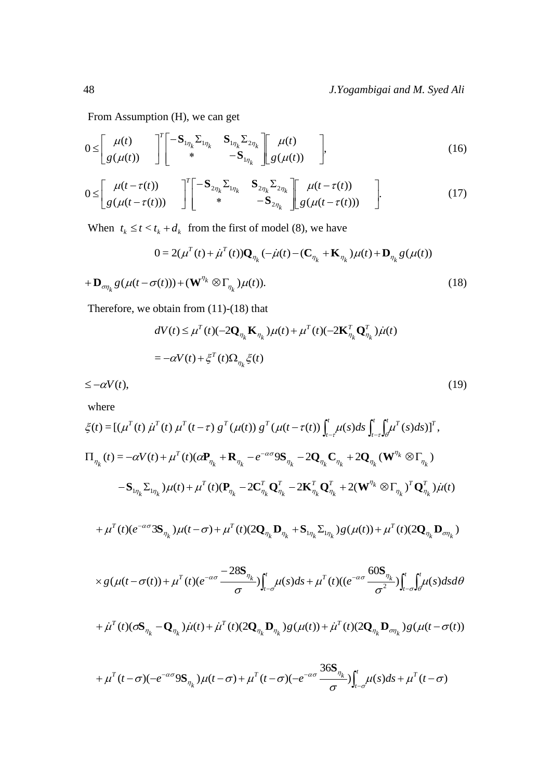(19)

From Assumption (H), we can get

$$
0 \leq \begin{bmatrix} \mu(t) \\ g(\mu(t)) \end{bmatrix}^T \begin{bmatrix} -\mathbf{S}_{1\eta_k} \Sigma_{1\eta_k} & \mathbf{S}_{1\eta_k} \Sigma_{2\eta_k} \\ * & -\mathbf{S}_{1\eta_k} \end{bmatrix} \begin{bmatrix} \mu(t) \\ g(\mu(t)) \end{bmatrix}, \qquad (16)
$$

$$
0 \leq \begin{bmatrix} \mu(t-\tau(t)) \\ g(\mu(t-\tau(t))) \end{bmatrix}^T \begin{bmatrix} -\mathbf{S}_{2\eta_k} \Sigma_{1\eta_k} & \mathbf{S}_{2\eta_k} \Sigma_{2\eta_k} \\ * & -\mathbf{S}_{2\eta_k} \end{bmatrix} \begin{bmatrix} \mu(t-\tau(t)) \\ g(\mu(t-\tau(t))) \end{bmatrix} . \tag{17}
$$

When  $t_k \le t < t_k + d_k$  from the first of model (8), we have

$$
0 = 2(\mu^T(t) + \dot{\mu}^T(t))\mathbf{Q}_{\eta_k}(-\dot{\mu}(t) - (\mathbf{C}_{\eta_k} + \mathbf{K}_{\eta_k})\mu(t) + \mathbf{D}_{\eta_k}g(\mu(t))
$$
  
( $t - \sigma(t)$ )) + ( $\mathbf{W}^{\eta_k} \otimes \Gamma_{\eta_k}$ ) $\mu(t)$ ). (18)

 $g(\mu(t-\sigma(t))) + (\mathbf{W}^{\eta_k} \otimes \Gamma_{\eta_k})\mu(t)).$ *k*  $+\mathbf{D}_{\sigma\eta_k}g(\mu(t-\sigma(t)))+(\mathbf{W}^{\eta_k}\otimes\Gamma_{\eta_k})\mu$ 

Therefore, we obtain from (11)-(18) that

$$
dV(t) \leq \mu^T(t) (-2\mathbf{Q}_{\eta_k} \mathbf{K}_{\eta_k}) \mu(t) + \mu^T(t) (-2\mathbf{K}_{\eta_k}^T \mathbf{Q}_{\eta_k}^T) \dot{\mu}(t)
$$
  
= 
$$
-\alpha V(t) + \xi^T(t) \Omega_{\eta_k} \xi(t)
$$

 $\leq -\alpha V(t),$ 

where

$$
\xi(t) = \left[ (\mu^T(t) \mu^T(t) \mu^T(t - \tau) g^T(\mu(t)) g^T(\mu(t - \tau(t)) \int_{t-\tau}^t \mu(s) ds \int_{t-\tau}^t \int_{\theta}^t \mu^T(s) ds) \right]^T,
$$
  
\n
$$
\Pi_{\eta_k}(t) = -\alpha V(t) + \mu^T(t) (\alpha \mathbf{P}_{\eta_k} + \mathbf{R}_{\eta_k} - e^{-\alpha \sigma} \mathbf{S} \mathbf{S}_{\eta_k} - 2 \mathbf{Q}_{\eta_k} \mathbf{C}_{\eta_k} + 2 \mathbf{Q}_{\eta_k} (\mathbf{W}^{\eta_k} \otimes \Gamma_{\eta_k})
$$
  
\n
$$
- \mathbf{S}_{1\eta_k} \Sigma_{1\eta_k} \mu(t) + \mu^T(t) (\mathbf{P}_{\eta_k} - 2 \mathbf{C}_{\eta_k}^T \mathbf{Q}_{\eta_k}^T - 2 \mathbf{K}_{\eta_k}^T \mathbf{Q}_{\eta_k}^T + 2 (\mathbf{W}^{\eta_k} \otimes \Gamma_{\eta_k})^T \mathbf{Q}_{\eta_k}^T) \mu(t)
$$
  
\n
$$
+ \mu^T(t) (e^{-\alpha \sigma} 3 \mathbf{S}_{\eta_k}) \mu(t - \sigma) + \mu^T(t) (2 \mathbf{Q}_{\eta_k} \mathbf{D}_{\eta_k} + \mathbf{S}_{1\eta_k} \Sigma_{1\eta_k}) g(\mu(t)) + \mu^T(t) (2 \mathbf{Q}_{\eta_k} \mathbf{D}_{\eta_k})
$$

$$
+\mu^T(t)(e^{-\alpha\sigma}3\mathbf{S}_{\eta_k})\mu(t-\sigma)+\mu^T(t)(2\mathbf{Q}_{\eta_k}\mathbf{D}_{\eta_k}+\mathbf{S}_{1\eta_k}\Sigma_{1\eta_k})g(\mu(t))+\mu^T(t)(2\mathbf{Q}_{\eta_k}\mathbf{D}_{\sigma\eta_k})
$$

$$
\times g(\mu(t-\sigma(t)) + \mu^{T}(t)(e^{-\alpha\sigma} \frac{-28\mathbf{S}_{\eta_{k}}}{\sigma})\int_{t-\sigma}^{t} \mu(s)ds + \mu^{T}(t)((e^{-\alpha\sigma} \frac{60\mathbf{S}_{\eta_{k}}}{\sigma^{2}})\int_{t-\sigma}^{t} \mu(s)dsd\theta
$$

$$
+ \mu^{T}(t)(\sigma\mathbf{S}_{\eta_{k}} - \mathbf{Q}_{\eta_{k}})\mu(t) + \mu^{T}(t)(2\mathbf{Q}_{\eta_{k}}\mathbf{D}_{\eta_{k}})g(\mu(t)) + \mu^{T}(t)(2\mathbf{Q}_{\eta_{k}}\mathbf{D}_{\sigma\eta_{k}})g(\mu(t-\sigma(t))
$$

$$
+\mu^T(t-\sigma)(-e^{-\alpha\sigma}9S_{\eta_k})\mu(t-\sigma)+\mu^T(t-\sigma)(-e^{-\alpha\sigma}\frac{36S_{\eta_k}}{\sigma})\int_{t-\sigma}^t\mu(s)ds+\mu^T(t-\sigma)
$$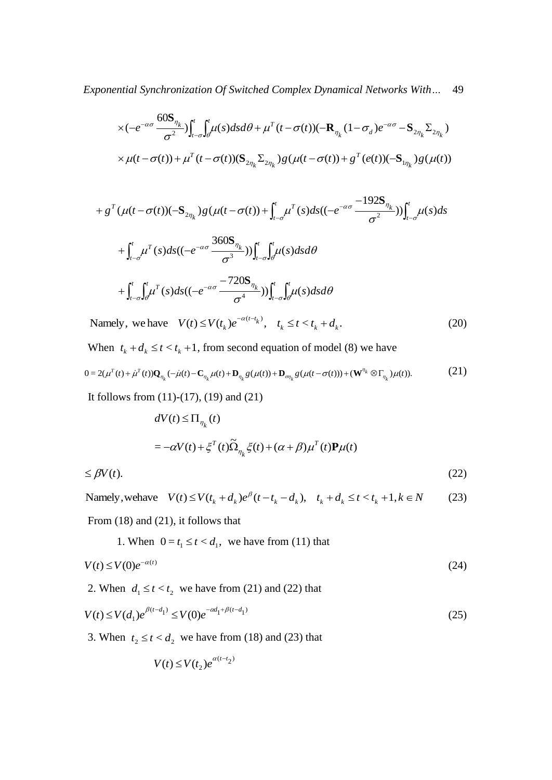$$
\times (-e^{-\alpha \sigma} \frac{60 \mathbf{S}_{\eta_k}}{\sigma^2}) \int_{t-\sigma}^t \int_{\theta}^t \mu(s) ds d\theta + \mu^T (t - \sigma(t)) (-\mathbf{R}_{\eta_k} (1 - \sigma_d) e^{-\alpha \sigma} - \mathbf{S}_{2\eta_k} \Sigma_{2\eta_k})
$$
  
 
$$
\times \mu(t - \sigma(t)) + \mu^T (t - \sigma(t)) (\mathbf{S}_{2\eta_k} \Sigma_{2\eta_k}) g(\mu(t - \sigma(t)) + g^T (e(t)) (-\mathbf{S}_{1\eta_k}) g(\mu(t))
$$

+
$$
g^T(\mu(t-\sigma(t))
$$
 $(-\mathbf{S}_{2\eta_k})g(\mu(t-\sigma(t)) + \int_{t-\sigma}^t \mu^T(s)ds$  $(-e^{-\alpha\sigma}\frac{-192\mathbf{S}_{\eta_k}}{\sigma^2}))\int_{t-\sigma}^t \mu(s)ds$   
+ $\int_{t-\sigma}^t \mu^T(s)ds$  $(-e^{-\alpha\sigma}\frac{360\mathbf{S}_{\eta_k}}{\sigma^3}))\int_{t-\sigma}^t \int_{\theta}^t \mu(s)ds d\theta$   
+ $\int_{t-\sigma}^t \int_{\theta}^t \mu^T(s)ds$  $((-e^{-\alpha\sigma}\frac{-720\mathbf{S}_{\eta_k}}{\sigma^4}))\int_{t-\sigma}^t \int_{\theta}^t \mu(s)ds d\theta$ 

Namely, we have  $V(t) \le V(t_k) e^{-\alpha (t-t_k)}$ ,  $t_k \le t < t_k + d_k$ .  $V(t) \leq V(t_k) e^{-\alpha(t-t_k)}, \quad t_k \leq t < t_k + d_k$ (20)

When  $t_k + d_k \le t < t_k + 1$ , from second equation of model (8) we have  $0 = 2(\mu^T(t) + \dot{\mu}^T(t))\mathbf{Q}_{\eta_k}(-\dot{\mu}(t) - \mathbf{C}_{\eta_k}\mu(t) + \mathbf{D}_{\eta_k}g(\mu(t)) + \mathbf{D}_{\sigma_{\eta_k}}g(\mu(t-\sigma(t))) + (\mathbf{W}^{\eta_k} \otimes \Gamma_{\eta_k})\mu(t)).$ (21)

It follows from (11)-(17), (19) and (21)

$$
dV(t) \leq \Pi_{\eta_k}(t)
$$
  
=  $-\alpha V(t) + \xi^T(t) \tilde{\Omega}_{\eta_k} \xi(t) + (\alpha + \beta) \mu^T(t) \mathbf{P} \mu(t)$ 

(22)

 $\leq \beta V(t)$ .

Namely, we have  $V(t) \le V(t_k + d_k)e^{\beta}(t - t_k - d_k)$ ,  $t_k + d_k \le t < t_k + 1, k \in \mathbb{N}$ (23)

From (18) and (21), it follows that

1. When  $0 = t_1 \le t < d_1$ , we have from (11) that

$$
V(t) \le V(0)e^{-\alpha(t)}\tag{24}
$$

2. When  $d_1 \le t < t_2$  we have from (21) and (22) that

$$
V(t) \le V(d_1) e^{\beta(t-d_1)} \le V(0) e^{-\alpha d_1 + \beta(t-d_1)}
$$
\n(25)

3. When  $t_2 \le t < d_2$  we have from (18) and (23) that

$$
V(t) \le V(t_2) e^{\alpha(t-t_2)}
$$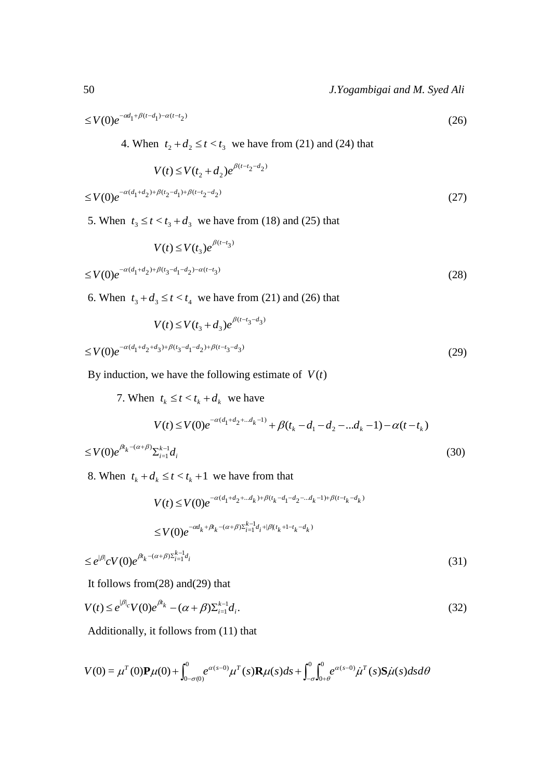$$
\leq V(0)e^{-\alpha d_1 + \beta(t - d_1) - \alpha(t - t_2)}\tag{26}
$$

4. When  $t_2 + d_2 \le t < t_3$  we have from (21) and (24) that

$$
V(t) \le V(t_2 + d_2)e^{\beta(t - t_2 - d_2)}
$$

$$
\leq V(0)e^{-\alpha(d_1+d_2)+\beta(t_2-d_1)+\beta(t-t_2-d_2)}\tag{27}
$$

5. When  $t_3 \le t < t_3 + d_3$  we have from (18) and (25) that

$$
V(t) \le V(t_3)e^{\beta(t-t_3)}
$$
  
\n
$$
\le V(0)e^{-\alpha(d_1+d_2)+\beta(t_3-d_1-d_2)-\alpha(t-t_3)}
$$
\n(28)

6. When  $t_3 + d_3 \le t < t_4$  we have from (21) and (26) that

$$
V(t) \le V(t_3 + d_3)e^{\beta(t - t_3 - d_3)}
$$
  
\n
$$
\le V(0)e^{-\alpha(d_1 + d_2 + d_3) + \beta(t_3 - d_1 - d_2) + \beta(t - t_3 - d_3)}
$$
\n(29)

By induction, we have the following estimate of  $V(t)$ 

7. When  $t_k \le t < t_k + d_k$  we have

$$
V(t) \le V(0)e^{-\alpha(d_1+d_2+...d_k-1)} + \beta(t_k-d_1-d_2-...d_k-1) - \alpha(t-t_k)
$$
  

$$
\le V(0)e^{\beta t_k-(\alpha+\beta)}\sum_{i=1}^{k-1}d_i
$$
 (30)

8. When  $t_k + d_k \le t < t_k + 1$  we have from that

*i*

 $=1$ 

$$
V(t) \le V(0)e^{-\alpha(d_1+d_2+...d_k)+\beta(t_k-d_1-d_2-...d_k-1)+\beta(t-t_k-d_k)}
$$
  
\n
$$
\le V(0)e^{-\alpha d_k+\beta t_k-(\alpha+\beta)\sum_{i=1}^{k-1}d_i+|\beta|(t_k+1-t_k-d_k)}
$$

$$
\leq e^{|\beta|} c V(0) e^{\beta t_k - (\alpha + \beta) \sum_{i=1}^{K-1} d_i} \tag{31}
$$

It follows from(28) and(29) that

$$
V(t) \le e^{|\beta|_c} V(0) e^{\beta t_k} - (\alpha + \beta) \Sigma_{i=1}^{k-1} d_i.
$$
\n(32)

Additionally, it follows from (11) that

$$
V(0) = \mu^{T}(0)\mathbf{P}\mu(0) + \int_{0-\sigma(0)}^{0} e^{\alpha(s-0)}\mu^{T}(s)\mathbf{R}\mu(s)ds + \int_{-\sigma(0+\theta)}^{0} e^{\alpha(s-0)}\mu^{T}(s)\mathbf{S}\mu(s)dsd\theta
$$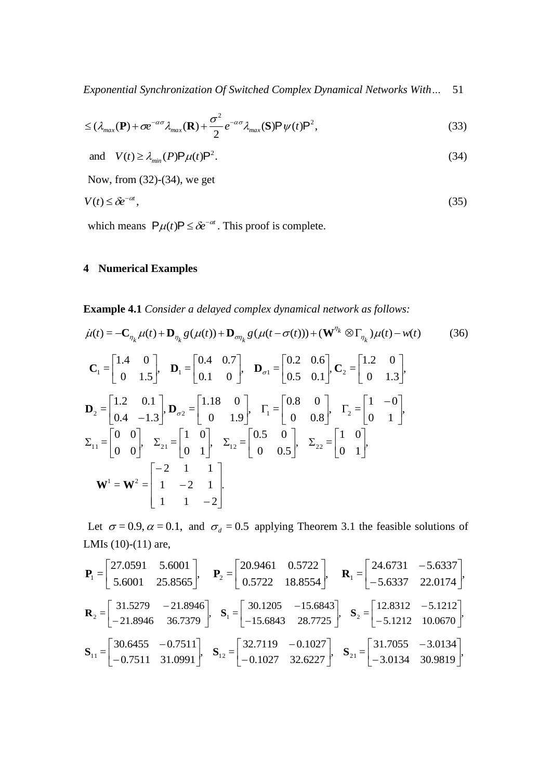*Exponential Synchronization Of Switched Complex Dynamical Networks With…* 51

$$
\leq (\lambda_{\max}(\mathbf{P}) + \sigma e^{-\alpha \sigma} \lambda_{\max}(\mathbf{R}) + \frac{\sigma^2}{2} e^{-\alpha \sigma} \lambda_{\max}(\mathbf{S}) \mathbf{P} \psi(t) \mathbf{P}^2, \tag{33}
$$

and 
$$
V(t) \ge \lambda_{min}(P) \mathsf{P} \mu(t) \mathsf{P}^2
$$
. (34)

Now, from (32)-(34), we get

$$
V(t) \le \delta e^{-\alpha t},\tag{35}
$$

which means  $P\mu(t)P \leq \delta e^{-\alpha t}$ . This proof is complete.

# **4 Numerical Examples**

## **Example 4.1** *Consider a delayed complex dynamical network as follows:*

$$
\dot{\mu}(t) = -\mathbf{C}_{\eta_k} \mu(t) + \mathbf{D}_{\eta_k} g(\mu(t)) + \mathbf{D}_{\sigma \eta_k} g(\mu(t - \sigma(t))) + (\mathbf{W}^{\eta_k} \otimes \Gamma_{\eta_k}) \mu(t) - w(t) \qquad (36)
$$
  

$$
\mathbf{C}_1 = \begin{bmatrix} 1.4 & 0 \\ 0 & 1.5 \end{bmatrix}, \quad \mathbf{D}_1 = \begin{bmatrix} 0.4 & 0.7 \\ 0.1 & 0 \end{bmatrix}, \quad \mathbf{D}_{\sigma 1} = \begin{bmatrix} 0.2 & 0.6 \\ 0.5 & 0.1 \end{bmatrix}, \quad \mathbf{C}_2 = \begin{bmatrix} 1.2 & 0 \\ 0 & 1.3 \end{bmatrix},
$$
  

$$
\mathbf{D}_2 = \begin{bmatrix} 1.2 & 0.1 \\ 0.4 & -1.3 \end{bmatrix}, \quad \mathbf{D}_{\sigma 2} = \begin{bmatrix} 1.18 & 0 \\ 0 & 1.9 \end{bmatrix}, \quad \Gamma_1 = \begin{bmatrix} 0.8 & 0 \\ 0 & 0.8 \end{bmatrix}, \quad \Gamma_2 = \begin{bmatrix} 1 & -0 \\ 0 & 1 \end{bmatrix},
$$
  

$$
\Sigma_{11} = \begin{bmatrix} 0 & 0 \\ 0 & 0 \end{bmatrix}, \quad \Sigma_{21} = \begin{bmatrix} 1 & 0 \\ 0 & 1 \end{bmatrix}, \quad \Sigma_{12} = \begin{bmatrix} 0.5 & 0 \\ 0 & 0.5 \end{bmatrix}, \quad \Sigma_{22} = \begin{bmatrix} 1 & 0 \\ 0 & 1 \end{bmatrix},
$$
  

$$
\mathbf{W}^1 = \mathbf{W}^2 = \begin{bmatrix} -2 & 1 & 1 \\ 1 & -2 & 1 \\ 1 & 1 & -2 \end{bmatrix}.
$$

Let  $\sigma = 0.9$ ,  $\alpha = 0.1$ , and  $\sigma_d = 0.5$  applying Theorem 3.1 the feasible solutions of LMIs (10)-(11) are,

$$
\mathbf{P}_{1} = \begin{bmatrix} 27.0591 & 5.6001 \\ 5.6001 & 25.8565 \end{bmatrix}, \quad \mathbf{P}_{2} = \begin{bmatrix} 20.9461 & 0.5722 \\ 0.5722 & 18.8554 \end{bmatrix}, \quad \mathbf{R}_{1} = \begin{bmatrix} 24.6731 & -5.6337 \\ -5.6337 & 22.0174 \end{bmatrix},
$$

$$
\mathbf{R}_{2} = \begin{bmatrix} 31.5279 & -21.8946 \\ -21.8946 & 36.7379 \end{bmatrix}, \quad \mathbf{S}_{1} = \begin{bmatrix} 30.1205 & -15.6843 \\ -15.6843 & 28.7725 \end{bmatrix}, \quad \mathbf{S}_{2} = \begin{bmatrix} 12.8312 & -5.1212 \\ -5.1212 & 10.0670 \end{bmatrix},
$$

$$
\mathbf{S}_{11} = \begin{bmatrix} 30.6455 & -0.7511 \\ -0.7511 & 31.0991 \end{bmatrix}, \quad \mathbf{S}_{12} = \begin{bmatrix} 32.7119 & -0.1027 \\ -0.1027 & 32.6227 \end{bmatrix}, \quad \mathbf{S}_{21} = \begin{bmatrix} 31.7055 & -3.0134 \\ -3.0134 & 30.9819 \end{bmatrix},
$$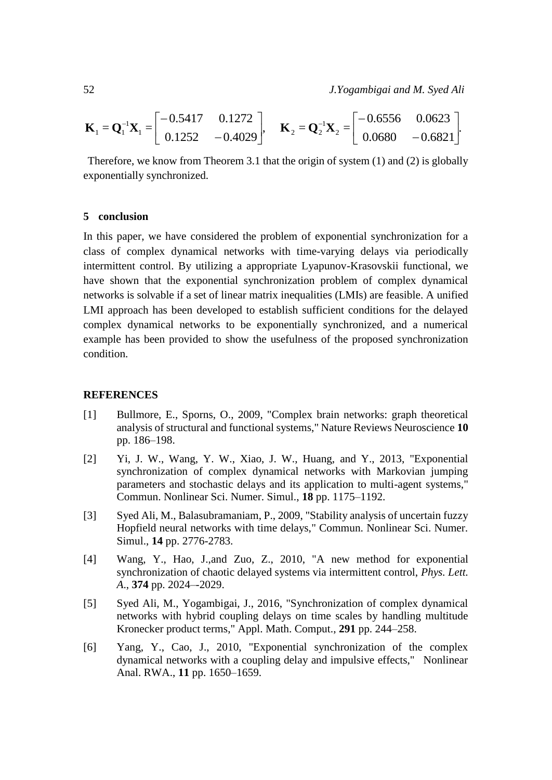52 *J.Yogambigai and M. Syed Ali*

$$
\mathbf{K}_1 = \mathbf{Q}_1^{-1} \mathbf{X}_1 = \begin{bmatrix} -0.5417 & 0.1272 \\ 0.1252 & -0.4029 \end{bmatrix}, \quad \mathbf{K}_2 = \mathbf{Q}_2^{-1} \mathbf{X}_2 = \begin{bmatrix} -0.6556 & 0.0623 \\ 0.0680 & -0.6821 \end{bmatrix}.
$$

Therefore, we know from Theorem 3.1 that the origin of system (1) and (2) is globally exponentially synchronized.

#### **5 conclusion**

In this paper, we have considered the problem of exponential synchronization for a class of complex dynamical networks with time-varying delays via periodically intermittent control. By utilizing a appropriate Lyapunov-Krasovskii functional, we have shown that the exponential synchronization problem of complex dynamical networks is solvable if a set of linear matrix inequalities (LMIs) are feasible. A unified LMI approach has been developed to establish sufficient conditions for the delayed complex dynamical networks to be exponentially synchronized, and a numerical example has been provided to show the usefulness of the proposed synchronization condition.

## **REFERENCES**

- [1] Bullmore, E., Sporns, O., 2009, "Complex brain networks: graph theoretical analysis of structural and functional systems," Nature Reviews Neuroscience **10** pp. 186–198.
- [2] Yi, J. W., Wang, Y. W., Xiao, J. W., Huang, and Y., 2013, "Exponential synchronization of complex dynamical networks with Markovian jumping parameters and stochastic delays and its application to multi-agent systems," Commun. Nonlinear Sci. Numer. Simul., **18** pp. 1175–1192.
- [3] Syed Ali, M., Balasubramaniam, P., 2009, "Stability analysis of uncertain fuzzy Hopfield neural networks with time delays," Commun. Nonlinear Sci. Numer. Simul., **14** pp. 2776-2783.
- [4] Wang, Y., Hao, J.,and Zuo, Z., 2010, "A new method for exponential synchronization of chaotic delayed systems via intermittent control, *Phys. Lett. A*., **374** pp. 2024–-2029.
- [5] Syed Ali, M., Yogambigai, J., 2016, "Synchronization of complex dynamical networks with hybrid coupling delays on time scales by handling multitude Kronecker product terms," Appl. Math. Comput., **291** pp. 244–258.
- [6] Yang, Y., Cao, J., 2010, "Exponential synchronization of the complex dynamical networks with a coupling delay and impulsive effects," Nonlinear Anal. RWA., **11** pp. 1650–1659.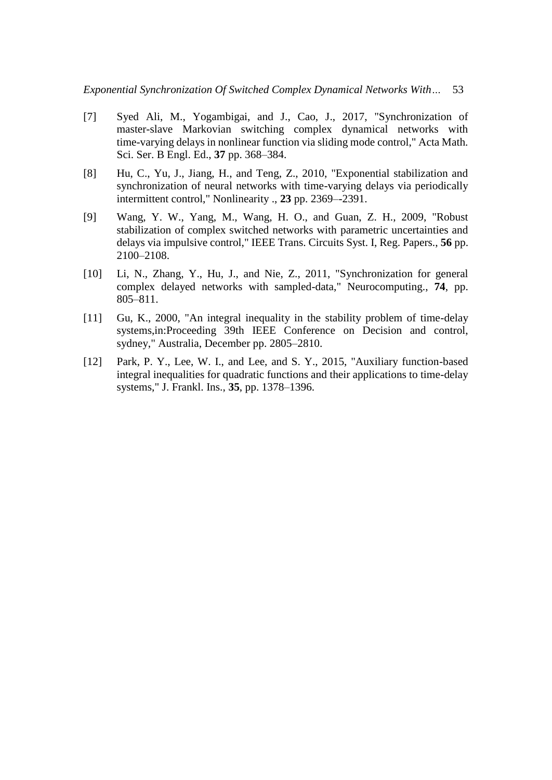- [7] Syed Ali, M., Yogambigai, and J., Cao, J., 2017, "Synchronization of master-slave Markovian switching complex dynamical networks with time-varying delays in nonlinear function via sliding mode control," Acta Math. Sci. Ser. B Engl. Ed., **37** pp. 368–384.
- [8] Hu, C., Yu, J., Jiang, H., and Teng, Z., 2010, "Exponential stabilization and synchronization of neural networks with time-varying delays via periodically intermittent control," Nonlinearity ., **23** pp. 2369–-2391.
- [9] Wang, Y. W., Yang, M., Wang, H. O., and Guan, Z. H., 2009, "Robust stabilization of complex switched networks with parametric uncertainties and delays via impulsive control," IEEE Trans. Circuits Syst. I, Reg. Papers., **56** pp. 2100–2108.
- [10] Li, N., Zhang, Y., Hu, J., and Nie, Z., 2011, "Synchronization for general complex delayed networks with sampled-data," Neurocomputing., **74**, pp. 805–811.
- [11] Gu, K., 2000, "An integral inequality in the stability problem of time-delay systems,in:Proceeding 39th IEEE Conference on Decision and control, sydney," Australia, December pp. 2805–2810.
- [12] Park, P. Y., Lee, W. I., and Lee, and S. Y., 2015, "Auxiliary function-based integral inequalities for quadratic functions and their applications to time-delay systems," J. Frankl. Ins., **35**, pp. 1378–1396.